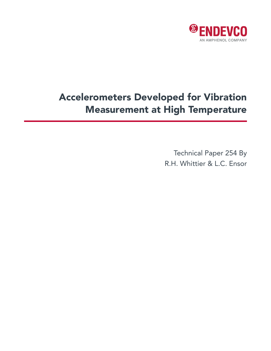

# Accelerometers Developed for Vibration Measurement at High Temperature

Technical Paper 254 By R.H. Whittier & L.C. Ensor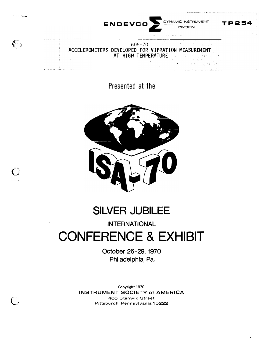

Presented at the



پو شم<br>ف

 $\subset$  .

# **SILVER JUBILEE**

# INTERNATIONAL

# CONFERENCE & EXHIBIT

October 26-29, 1970 Philadelphia, Pa.

**Copyright 1970 INSTRUMENT SOCIETY of** AMERICA 400 Stanwix Street Pittsburgh, Pennsylvania 15222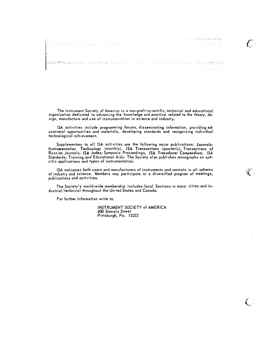The Instrument Society of America is a non-profit scientific, technical and educational organization dedicated to advancing the knowledge and practice related to the theory, design, manufacture and use of instrumentation in science and industry.

ISA activities include programming forums, disseminating information, providing educational opportunities and materials, developing standards and recognizing individual technological achievement.

Supplementary to all ISA activities are the following major publications: Journals-Instrumentation Technology (monthly), ISA Transactions (quarterly), Transactions of<br>Russian Journals; ISA Index; Symposia Proceedings, ISA Transducer Compendium; ISA Standards; Training and Educational Aids. The Society also publishes monographs on specific applications and types of instrumentation.

ISA welcomes both users and manufacturers of instruments and controls in all spheres of industry and science. Members may participate in a diversified program of meetings, publications and activities.

 $\mathscr{C}$ 

The Society's world-wide membership includes local Sections in major cities and industrial/technical throughout the United States and Canada.

For further information write to:

INSTRUMENT SOCIETY of AMERICA 400 Stanwix Street Pittsburgh, Pa. 15222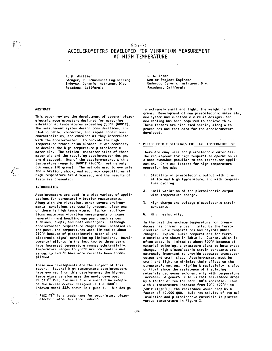# 606-70 ACCELEROMETERS DEVELOPED FOR VIRRATION MEASUREMENT AT HIGH TEMPERATURE

R. H. Whittier Manager, PE Transducer Engineering Endevco, Dynamic Instrument Div. Pasadena, California

L. C. Ensor Senior Project Engineer Endevco, Dynamic lnstrwaent Div. Pasadena, California

#### ABSTRACT

This paper reviews the development of several piezoelectric accelerometers designed for measuring vibration at temperatures exceeding 750°F (400°C). The measurement system design considerations, including cable, connector, and signal conditioner characteristics, are examined as they interrelate **with** the accelerometer. To provide the high temperature transduction element it was necessary to develop the high temperature piezoelectric materials. The critical characteristics of these materials and the resulting accelerometer designs are discussed. One of the accelerometers, with a temperature range to 1400° F (760° C), weighs only 0.6 ounce (18 grams). The methods used to evaluate the vibration, shock, and accuracy capabilities at high temperature are discussed, and the results of tests are presented.

#### INTRODUCTION

Accelerometers are used in a wide variety of applications for structural vibration measurements. Along with the vibration, other severe environmental conditions are usually present; often one of these is high temperature. Typical applications encompass vibration measurements on power generating and handling equipment such as gas turbines, pumps, and heat exchangers. Although accelerometer temperature ranges have increased in the past, the temperatures were limited to about 750 ° F because of piezoelectric material and electronic signal conditioning limitations. Developmental efforts in the last two to three years have increased temperature ranges substantially. Temperature ranges to 900° F are now routine and ranges to 1400° F have more recently been accomplished.

These new developments are the subject of this report. Several high temperature accelerometers have evolved from this development; the highest temperature version uses the newly developed PIEZITE<sup>R</sup> P-15 piezoelectric element.\* An example of the accelerometer designed is the 1400° F Endevco Model 2285 shown in Figure 1. This design

 $*$  PIEZ ITE<sup>(R)</sup> is a trade name for proprietary piezoelectric materials from Endevco.

is extremely small and light; the weight is 18 grams. Development of new piezoelectric materials, new system and electronic circuit designs, and new cabling has been required to achieve this, These factors are discussed herein, along with procedures and test data for the accelerometers developed.

#### PIEZOELECTRIC MATERIALS FOR HIGH TEMPERATURE USE

There are many uses. for piezoelectric materials. The requirement for high temperature operation is a need somewhat peculiar to the transducer application. Critical factors for high temperature operation include:

- I. Stability of piezoelectric output with time at low and high temperature, and with temperature cycling.
- 2. Small variation of the piezoelectric output with temperature change.
- 3, High charge and voltage piezoelectric strain constants,
- 4. High resistivity.

In the past the maximum temperature for transducers has primarily been limited by the ferroelectric Curie temperatures and crystal phase changes. Typical Curie temperatures for ferroelectrics are shown in Table 1. Quartz, which is often used, is limited to about 500°F because of material twinning, a premature alpha to **beta** phase change. High piezoelectric strain constants are extremely important to provide adequate transducer output and small size. Accelerometers must be small and light to minimize their effect on the structure's motion. High bulk resistivity is also critical since the resistance of insulating materials decreases exponentially with temperature increase. A general rule is that resistance drops by a factor of ten for each l00° C increase. Thus with a temperature increase from 20° C (70° F) to 72o•c (1330° F), the resistance would drop by a factor of 10,000,QOO, Bulk resistivity of typical insulation and piezoelectric materials is plotted versus temperature in Figure 2.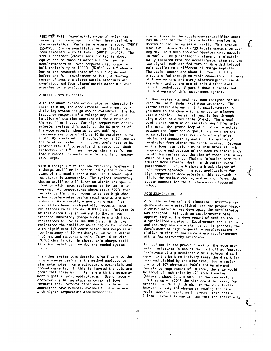PIEZITE® P-15 piezoelectric material which has recently been developed provides these desirable characteristics. Curie temperature is above 1750°F (950°C). Charge sensitivity varies little from room temperature to at least 1500°F (820°C). The strain constant (charge sensitivity) is about equivalent to those of materials now used in accelerometers at lower temperatures. Finally, bulk resistivity at 1500°F (820°C) is  $10^4$  ohm-cm. During the research phase of this program and before the full development of P-15, a thorough search of possible piezoelectric materials was completed, and four piezoelectric materials were experimentally evaluated.

#### VIBRATION SYSTEM DESIGN

With the above piezoelectric material characteristics in mind, the accelerometer and signal conditioning system design can be evaluated. The low frequency response of a voltage amplifier is a function of the time constant of the circuit at the amplifier input. For high temperature accelerometer systems this would be the RC product of the accelerometer shunted by any cabling. Frequency response of -5% at 10 Hz requires RC to equal .05 ohm-farad. If resistivity is 10<sup>4</sup> ohm-cm the relative diglectric constant would need to be greater than 107 to provide this response. Such dielectric is 10<sup>4</sup> times greater than that for our lead zirconate titanate material and is unreasonably large.

Within design limits the low frequency response of a charge amplifier is controlled by the time constant of the conditioner alone. Thus lower input resistance is acceptable. The typical laboratory charge amplifier will function within its specification with input resistances as low as 10-50 megohms. At temperatures above about 750°F this resistance limit has proven to be too high when other accelerometer design requirements are considered. As a result, a new charge amplifier circuit has been developed which accepts input resistances to as low as 10,000 ohms. Performance of this circuit is equivalent to that of our standard laboratory charge amplifiers with input resistances as low as 100,000 ohms. With lower resistance the amplifier noise begins to increase with significant 1/f contribution and response at low frequency (3-10 Hz) decays. Noise is within 1 pC rms and response within -5% at 10 Hz with 10,000 ohms input. In short, this charge amplification technique provides the needed system concept.

One other system consideration significant to the accelerometer design is the method employed to eliminate noise from electrostatic potentials and ground currents. If this is ignored the odds are great that noise will interfere with the measurement signal in most applications. Use of accelerometer insulating studs is common at lower temperatures. Several other new and interesting approaches have recently evolved and are in use with higher temperature accelerometers.

One of these is the accelerometer-amplifier combination used for the engine vibration monitoring system on the Boeing 747 aircraft. This system uses two Endevco Model 6233 Accelerometers on each engine. This accelerometer operates continuously to 900°F. The piezoelectric element is electrically isolated from the accelerometer case and the two signal leads are fed through shielded twisted pair cabling to a differential charge amplifier. The cable lengths are about 150 feet, and the wires are fed through multipin connectors. Effects of frame voltage and stray electromagnetic fields are minimized by the use of this differential circuit technique. Figure 3 shows a simplified block diagram of this measurement system.

Another system approach has been designed for use with the 1400°F Model 2285 Accelerometer. The piezoelectric element in this accelerometer is grounded to the case which provides an electrostatic shield. The signal lead is fed through single wire shielded cable (Coax). The signal conditioner contains an isolation amplifier which eliminates the ground loop which normally exists between the input and output, thus providing the noise rejection. This system permits simpler cabling and connectors, and the elimination of insulation from within the accelerometer. Because of the lower resistivities of insulators at high temperature and because of the need to retain high insulation resistance, the size of those insulators<br>would be significant. Their elimination permits a smaller accelerometer design with better overall performance. Figure 4 shows a block diagram of<br>this system approach. In most applications for high temperature accelerometers this approach is likely the optimum choice, and as such forms the system concept for the accelerometer discussed below.

### ACCELEROMETER DESIGN

After the mechanical and electrical interface requirements were established, and the proper piezoelectric material was developed, the accelerometer was designed. Although an accelerometer often appears simple, the development of such an item is a specialized endeavor. Requirements are multifold, and accuracy needs are stringent. In general, the development of high temperature accelerometers is similar to that of low temperature accelerometers with a few noteworthy exceptions.

As outlined in the previous section, the accelerometer resistance is one of the controlling factors. Resistance of a piezoelectric or insulator disc is equal to the bulk resistivity times the disc thickness and divided by the disc area. For a resistivity of 10<sup>4</sup> ohm-cm at 1400°F and an element resistance requirement of 10 kohm, the size would be about .1 inch thick by .25 inch diameter (assuming shape is a disc). If the temperature limit is only 1200°F the size could decrease, for example, to .01 inch thick. If the resistivity however is only  $10^3$  ohm-cm at  $1400^{\circ}$ F, the size would increase resulting in crystal thickness of I inch. From this one can see that the resistivity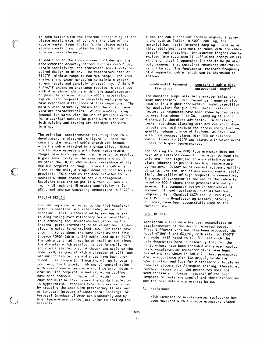in combination with the inherent sensitivity of the piezoelectric material controls the size of the accelerometer (sensitivity is the piezoelectric strain constant multiplied by the weight of the internal mass element).

In addition to the above dimensional design, the accelerometer accuracy factors such as resonance, strain sensitivity, and transverse sensitivity required design solution. The temperature span of 1500°F (minimum range to maximum range) requires analysis and experimentation to maintain proper stress levels and sensitivity stability. A  $2x10^{-6}$ in/in/<sup>o</sup>f expansion unbalance results in about .001 inch dimensional change within the accelerometer, or possible strains of up to 4000 microstrains. Typical high temperature materials and ceramics have expansion differences of this magnitude. The metals were naturally chosen for their high temperature characteristics. We are usually using inconel for parts with the use of precious metals for electrical conduction paths within the unit. Both welding and brazing are employed for metal joining.

The principal accelerometer resulting from this development is pictured in Figure 1. Both the case and the integral cable sheath are inconel with the cable attached by a braze alloy. Other similar accelerometers with lower temperature ranges have also been designed in order to provide higher sensitivity in the same space and still maintain the 10,000 ohm minimum resistance at its maximum temperature range. Since the cable is fixed to the unit, a single mounting bolt hole is provided. This enables the accelerometer to be mounted without chance of cable misalignment. Resulting size and weight is within  $.5$  inch x .5 inch  $x \cdot 9$  inch and 18 grams; sensitivity is 2.5 pC/g, and maximum operating temperature is 1400°F.

#### CABLING DESIGN

The cabling shown attached to the 2285 Accelerometer is sheathed in a metal tube; we call it hardline. This is fabricated by swaging or extruding tubing over refractory oxide insulation, thus crushing the insulation and capturing the internal parts, preventing relative motion. Triboelectric noise is maintained low. Our tests have shown it to be about the same level as that from Endevco 3090A Cable (a TFE cable used up to 500°F). The cable bend radii may be as small as two times the diameter which permits its use in small, restricted installations. Although the cable on the Model 2285 is coaxial with a diameter of .093 inch, various configurations and sizes have been produced. See Figure 5. Since the wiring is totally confined, the historic problems of contamination with environmental exposure and insulation deterioration with temperature and vibration cycling have been reduced. Special manufacturing precautions must be taken since the oxide insulation is hygroscopic. Problems from this are minimized by treating the ends with proprietary fluids such as Conoseal (product of Continental Sensing), or Aeroseal (product of American Standard), and by high temperature baking just prior to sealing the assembly.

Since the cable does not contain organic insulation, such as Teflon in 500°F cabling, the material has little internal damping. Because of this, additional care must be taken with the cable dressing and clamping. Unsupported lengths can be excited into resonance if sufficient energy exists at the critical frequencies (it should be pointed out, however, that sustained resonance excitation is unlikely). The fundamental resonant frequency of a supported cable length can be expressed as follows:

#### Fundamental Resonant constant X cable dia. Frequency unsupported length<sup>2</sup>

The constant lumps material characteristics and beam constraints. High resonance frequency also results in a higher acceleration input capability for equivalent fatigue life. Amplification factors at resonance have been shown by our tests to vary from about 4 to 20. Clamping at short distance is therefore advisable. In addition, tests have shown clamping with devices which distribute the load (reduce the stress concentration) greatly reduces chance of fatigue. We have used, with good success, clamps with TFE or silicone rubber liners to 550°F and clamps with woven metal liners to higher temperatures.

The housing for the 2285 Accelerometer does not have an electrical connector in order to keep the unit small and light, and to also eliminate problems inherent in present day high temperature connectors. Oxidation of contact systems, galling of parts, and the loss of any environmental seal, limit the utility of high temperature connectors. The coaxial connector at the end of the cable is rated to 900°F where these problems are not so severe. The connector system is fabricated of inconel. Thread lubricants, such as Antionic Compound, Kern Chemical KC24 and Fel-Pro C5-A, Felt Products Manufacturing Company, Skokie, Illinois, have been successfully used on the threaded shell.

#### TEST RESULTS

Considerable test data has been accumulated on accelerometers of the design-reported above. Three different versions have been produced, the Mode! 6236M3-6 and 6237Ml, both rated to 1200°F and Model 2285 rated to 1400°F. Although the data documented here is primarily that for the 2285, others have been included where applicable. Basic accelerometer characteristics have been tested and are shown in Table 2. Test procedures are in accordance with ISA-RP37.2, Guide for Specification and Test for Piezoelectric Acceleration Transducers for Aerospace Testing; therefore, further discussion on the procedures does not seem necessary. However, several of the high temperature tests are special and those procedures and the test data are presented below.

A. Resistance

High temperature accelerometer resistance has been measured with the accelerometers placed

606 3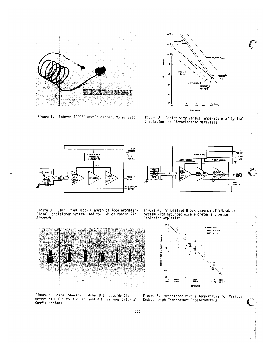

Figure 1. Endevco 1400°F Accelerometer, Model 2285



 $\mathcal{C}$ 

Figure 2. Resistivity versus Temperature of Typical<br>Insulation and Piezoelectric Materials





Figure 3. Simplified Block Diagram of Accelerometer-Signal Conditioner System used for EVM on Boeing 747 Aircraft

Figure 4. Simplified Block Diagram of Vibration System With Grounded Accelerometer and Noise Isolation Amplifier



Figure 5. Metal Sheathed Cables With Outside Dia-<br>meters if 0.015 to 0.25 in. and With Various Internal Configurations



Figure 6. Resistance versus Temperature for Various Endevco High Temperature Accelerometers

606  $\overline{4}$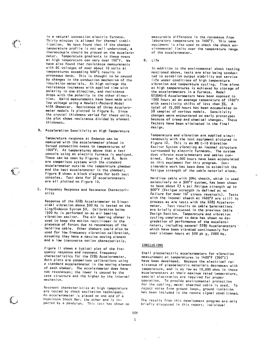in a natural convection electric furnace. Thirty minutes is allowed for thermal stabilization. We have found that if the chamber temperature profile is not well understood, a thermocouple should be placed on the accelerometer. Temperature gradients in these ovens at high temperature can vary over 100°F. We have also found that resistance measurements with DC voltages of over about 10 volts at temperatures exceeding 400°C results in erroneous data. This is thought to be caused by changes in the conduction mechanism of the insulation materials. At high voltage the resistance increases with applied time with polarity in one direction, and resistance drops with the polarity in the other direction. Valid measurements have been made with low voltage using a Hewlett-Packard Model 412A Ohmmeter. Resistance of three accelerometer models is plotted in Figure 6. Since the crystal thickness varied for these units, the plot shows resistance divided by element thickness.

B. Acceleration Sensitivity at High Temperature

Temperature response at Endevco can be measured with the accelerometer placed in forced convection ovens to temperatures of 1000°F. At temperatures above that a test console using an electric furnace is employed. These can be seen by Figures 7 and 8. Both are comparison systems with the standard accelerometer outside the temperature chamber and the test accelerometer in the chamber; Figure 9 shows a block diagram for both test consoles. Test data for 32 accelerometers are all plotted on Figure 10.

C. Frequency Response and Resonance Characteristics

Response of the 2285 Accelerometer to Sinusoidal vibration above 500 Hz is tested on the Ling/Endevco System 50. Calibration below 1500 Hz is performed on an air bearing vibration exciter. The air bearing shaker is used to keep the motion rectilinear in the presence of forces due to resonances of the hardline cable. Other shakers could also be used for low frequency vibration calibration, assuming they have a massive moving element and a low transverse motion characteristic.

Figure 11 shows a typical plot of the frequency response and resonant frequency characteristics for the 2285 Accelerometer. Both plots are comparison calibrations using a standard accelerometer in the moving element of each shaker. The accelerometer does have two resonances; the lower is caused by the case structure and the higher by the internal mechanism.

Resonant characteristics at high temperature are tested by shock excitation techniques. An accelerometer is placed on one end of a Hopkinson Shock Bar; the other end is impacted by a pendulum. This test has shown no

measurable difference in the resonance from laboratory temperature to 1400°F. This same equipment is also used to check the shock environmental limits over the temperature range of the accelerometer.

 $D.$  Life

In addition to the environmental shock testing mentioned above, tests are also being conducted to establish output stability and service life under conditions of high temperature vibration and temperature cycling. Time alone at high temperatures is achieved by storage of the accelerometers in a furnace. Model 6236M3-6 Accelerometers have been exposed to 1000 hours at an average temperature of 1200°F with sensitivity shifts of less than 5%. A total of 15,000 hours has been accumulated on 58 samples of various models. Sensitivity changes were encountered on early prototypes because of creep and chemical changes. These factors have been eliminated in the final design.

Temperature and vibration are applied simultaneously with the test equipment pictured in Figure 12. This is an MB C-10 Vibration Excitor System vibrating an inconel structure surrounded by electric furnaces. The system does vibrate accelerometers and cables combined. Over 4,000 hours have been accumulated on this equipment for this program. Considerable work has been done to establish the fatigue strength of the cable material alone.

Hardline cable with 304L sheath, which is used extensively on a 900°F system, has been shown to have about 27 k psi fatigue strength up to 900°F (fatigue strength is defined as no failure for over 107 stress reversals). Tests with the inconel sheath at 1400°F are still in process as are tests with the 2285 Accelerometer. Test results on cable terminations are briefly discussed in the previous Cable Design Section. Temperature and vibration cycling completed to date has shown no degradation of performance of the accelerometers, including several 2285 Accelerometers which have been vibrated continuously for over sixteen hours at 500 pk g, 2000 Hz.

#### CONCLUSIONS

Small piezoelectric accelerometers for vibration measurement at temperatures to 1400°F (760°C) have been developed. Because the electrical resistance of piezoelectric materials decreases with temperature, and is as low as 10,000 ohms in these accelerometers at their maximum rated temperature, special electronics are required for proper operation. To provide environmental protection for the cabling, metal sheathed cable is used. To reject noise from ground loops, ground isolation has been included in the remote signal conditioner.

The results from this development program are only briefly discussed in this report; individual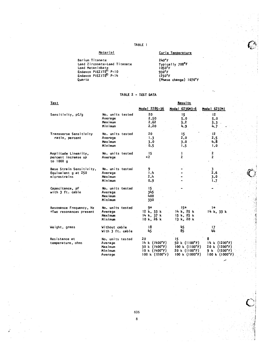# TABLE 1

| Material                                                                                                                        | Curie Temperature                                                                                                   |  |  |
|---------------------------------------------------------------------------------------------------------------------------------|---------------------------------------------------------------------------------------------------------------------|--|--|
| Barium Titanate<br>Lead Zirconate-Lead Titanate<br>Lead Metaniobate<br>Endevco PIEZITE® P-10<br>Endevco PIEZITE® P-14<br>Quartz | $240°$ F<br>Typically 700 <sup>e</sup> F<br>1050°F<br>$930^\circ F$<br>1250 <sup>o</sup> F<br>(Phase change) 1070°F |  |  |
|                                                                                                                                 |                                                                                                                     |  |  |

# TABLE 2 - TEST DATA

| <u>iest</u>                      |                  | <b>Kesults</b>           |                |                          |
|----------------------------------|------------------|--------------------------|----------------|--------------------------|
|                                  |                  | Model 2285-36            | Model 6236M3-6 | Model 6237Ml             |
| Sensitivity, pC/g                | No. units tested | 20                       | 15             | 12                       |
|                                  | Average          | 2.50                     | $5.0 -$        | 5.0                      |
|                                  | Maximum          | 2.62                     | 5.2            | 5.3                      |
|                                  | Minimum          | 2,20                     | 4.9            | 4.7                      |
| Transverse Sensitivity           | No. units tested | 20                       | 15             | 12                       |
| ratio, percent                   | Average          | 1.3                      | 2.0            | 2.5                      |
|                                  | Maximum          | 3.0                      | 3.0            | 4.8                      |
|                                  | Minimum          | 0.5                      | 1.5            | 1.0                      |
| Amplitude Linearity,             | No. units tested | 15                       | 1              | 2                        |
| percent increase up<br>to 1000 q | Average          | $\leq$ 2                 | $\overline{2}$ | 2                        |
| Base Strain Sensitivity,         | No. units tested | 9                        |                | $3 -$                    |
| Equivalent g at 250              | Average          | 1.4                      |                | 2.6                      |
| microstrains                     | Maximum          | 2.4                      |                | 3.0                      |
|                                  | Minimum          | 0.9                      |                | 1.7                      |
| Capacitance, pF                  | No. units tested | 15.                      |                |                          |
| with 3 ft. cable                 | Average          | 345                      |                |                          |
|                                  | Maximum          | 400                      |                |                          |
|                                  | Minimum          | 330                      |                |                          |
| Resonance Frequency, Hz          | No. units tested | 9*                       | $.15*$         | $1*$                     |
| *Two resonances present          | Average          | 12 k, 33 k               | 14 k, 25 k     | 14 k. 33 k               |
|                                  | Maximum          | 14 k, 37 k               | 15 k, 25 k     |                          |
|                                  | Minimum          | 10 k, 26 k               | 13 k, 20 k     |                          |
| Weight, grams                    | Without cable    | 18                       | 45             | 17                       |
|                                  | With 3 ft. cable | 45                       | 85             | 44                       |
| Resistance at                    | No. units tested | 20                       | 15             |                          |
| temperature, ohms                | Average          | 14 k (1400°F)            | 50 k (1100°F)  | 14 k (1200°F             |
|                                  | Maximum          | 30 k (1400°F)            | 100 k (1100°F) | 20 k (1200°F             |
|                                  | Minimum          | 10 k (1400°F)            | 20 k (1100°F)  | (1200°F<br>9 k           |
|                                  | Average          | 100 k $(1200^{\circ}$ F) | 100 k (1000°F) | $100 k$ ( $1000^{\circ}$ |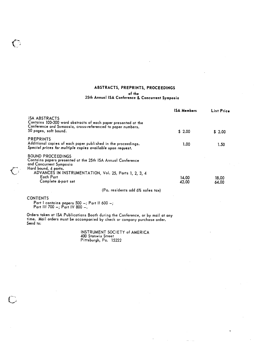### ABSTRACTS, PREPRINTS, PROCEEDINGS

#### of the

### 25th Annual ISA Conference & Concurrent Symposia

|                                                                                                                                                                                | <b>ISA Members</b> | List Price     |
|--------------------------------------------------------------------------------------------------------------------------------------------------------------------------------|--------------------|----------------|
| <b>ISA ABSTRACTS</b><br>Contains 100-300 word abstracts of each paper presented at the<br>Conference and Svmposia, cross-referenced to paper numbers.<br>50 pages, soft bound. | \$2.00             | \$2.00         |
|                                                                                                                                                                                |                    |                |
| <b>PREPRINTS</b><br>Additional copies of each paper published in the proceedings.<br>Special prices for multiple copies available upon request.                                | 1.00               | 1.50           |
| <b>BOUND PROCEEDINGS</b><br>Contains papers presented at the 25th ISA Annual Conference<br>and Concurrent Symposia<br>Hard bound, 4 parts.                                     |                    |                |
| ADVANCES IN INSTRUMENTATION, Vol. 25, Parts 1, 2, 3, 4<br>Each Part<br>Complete 4-part set                                                                                     | 14.00<br>42.00     | 18.00<br>64.00 |
| (Pa. residents add 6% sales tax)                                                                                                                                               |                    |                |

**CONTENTS** 

 $\ell$  .

 $\bigcirc$ 

Part I contains papers 500 -; Part II 600 -;<br>Part III 700 -; Part IV 800 -.

Orders taken at ISA Publications Booth during the Conference, or by mail at any time. Mail orders must be accompanied by check or company purchase order. Send to:

INSTRUMENT SOCIETY of AMERICA<br>400 Stanwix Street<br>Pittsburgh, Pa. 15222

 $\tilde{\mathbf{t}}$